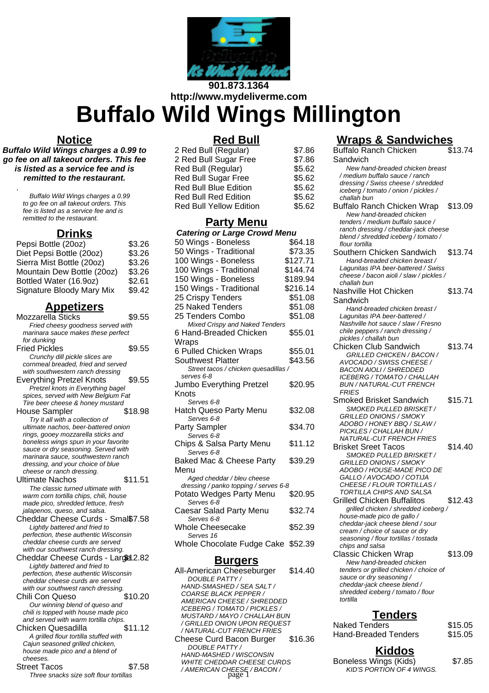

# **901.873.1364 http://www.mydeliverme.com Buffalo Wild Wings Millington**

### **Notice**

**Buffalo Wild Wings charges a 0.99 to go fee on all takeout orders. This fee is listed as a service fee and is remitted to the restaurant.**

.

Buffalo Wild Wings charges a 0.99 to go fee on all takeout orders. This fee is listed as a service fee and is remitted to the restaurant.

## **Drinks**

| Pepsi Bottle (20oz)        | \$3.26 |
|----------------------------|--------|
| Diet Pepsi Bottle (20oz)   | \$3.26 |
| Sierra Mist Bottle (20oz)  | \$3.26 |
| Mountain Dew Bottle (20oz) | \$3.26 |
| Bottled Water (16.9oz)     | \$2.61 |
| Signature Bloody Mary Mix  | \$9.42 |

## **Appetizers**

| Mozzarella Sticks                                                        | \$9.55  |
|--------------------------------------------------------------------------|---------|
| Fried cheesy goodness served with                                        |         |
| marinara sauce makes these perfect                                       |         |
| for dunking                                                              |         |
| <b>Fried Pickles</b>                                                     | \$9.55  |
| Crunchy dill pickle slices are                                           |         |
| cornmeal breaded, fried and served                                       |         |
| with southwestern ranch dressing                                         |         |
| <b>Everything Pretzel Knots</b>                                          | \$9.55  |
|                                                                          |         |
| Pretzel knots in Everything bagel<br>spices, served with New Belgium Fat |         |
| Tire beer cheese & honey mustard                                         |         |
|                                                                          |         |
| <b>House Sampler</b>                                                     | \$18.98 |
| Try it all with a collection of                                          |         |
| ultimate nachos, beer-battered onion                                     |         |
| rings, gooey mozzarella sticks and                                       |         |
| boneless wings spun in your favorite                                     |         |
| sauce or dry seasoning. Served with                                      |         |
| marinara sauce, southwestern ranch                                       |         |
| dressing, and your choice of blue                                        |         |
| cheese or ranch dressing.                                                |         |
| <b>Ultimate Nachos</b>                                                   | \$11.51 |
| The classic turned ultimate with                                         |         |
| warm corn tortilla chips, chili, house                                   |         |
| made pico, shredded lettuce, fresh                                       |         |
| jalapenos, queso, and salsa.                                             |         |
| Cheddar Cheese Curds - Smal\$7.58                                        |         |
| Lightly battered and fried to                                            |         |
| perfection, these authentic Wisconsin                                    |         |
| cheddar cheese curds are served                                          |         |
| with our southwest ranch dressing.                                       |         |
| Cheddar Cheese Curds - Lardel 2.82                                       |         |
| Lightly battered and fried to                                            |         |
| perfection, these authentic Wisconsin                                    |         |
| cheddar cheese curds are served                                          |         |
| with our southwest ranch dressing.                                       |         |
| Chili Con Queso                                                          | \$10.20 |
| Our winning blend of queso and                                           |         |
| chili is topped with house made pico                                     |         |
| and served with warm tortilla chips.                                     |         |
| Chicken Quesadilla                                                       | \$11.12 |
|                                                                          |         |
| A grilled flour tortilla stuffed with                                    |         |
| Cajun seasoned grilled chicken,                                          |         |
| house made pico and a blend of                                           |         |
| cheeses.                                                                 |         |
| Street Tacos                                                             | \$7.58  |
| Three snacks size soft flour tortillas                                   |         |
|                                                                          |         |

## **Red Bull**

| 2 Red Bull (Regular)           | \$7.86 |
|--------------------------------|--------|
| 2 Red Bull Sugar Free          | \$7.86 |
| Red Bull (Regular)             | \$5.62 |
| Red Bull Sugar Free            | \$5.62 |
| <b>Red Bull Blue Edition</b>   | \$5.62 |
| <b>Red Bull Red Edition</b>    | \$5.62 |
| <b>Red Bull Yellow Edition</b> | \$5.62 |

## **Party Menu**

| <b>Catering or Large Crowd Menu</b>         |          |  |
|---------------------------------------------|----------|--|
| 50 Wings - Boneless                         | \$64.18  |  |
| 50 Wings - Traditional                      | \$73.35  |  |
| 100 Wings - Boneless                        | \$127.71 |  |
| 100 Wings - Traditional                     | \$144.74 |  |
| 150 Wings - Boneless                        | \$189.94 |  |
| 150 Wings - Traditional                     | \$216.14 |  |
| 25 Crispy Tenders                           | \$51.08  |  |
| 25 Naked Tenders                            | \$51.08  |  |
| 25 Tenders Combo                            | \$51.08  |  |
| <b>Mixed Crispy and Naked Tenders</b>       |          |  |
| 6 Hand-Breaded Chicken                      | \$55.01  |  |
| Wraps                                       |          |  |
| 6 Pulled Chicken Wraps<br>Southwest Platter | \$55.01  |  |
| Street tacos / chicken quesadillas /        | \$43.56  |  |
| serves 6-8                                  |          |  |
| Jumbo Everything Pretzel                    | \$20.95  |  |
| Knots                                       |          |  |
| Serves 6-8                                  |          |  |
| Hatch Queso Party Menu                      | \$32.08  |  |
| Serves 6-8                                  | \$34.70  |  |
| <b>Party Sampler</b><br>Serves 6-8          |          |  |
| Chips & Salsa Party Menu                    | \$11.12  |  |
| Serves 6-8                                  |          |  |
| Baked Mac & Cheese Party                    | \$39.29  |  |
| Menu                                        |          |  |
| Aged cheddar / bleu cheese                  |          |  |
| dressing / panko topping / serves 6-8       |          |  |
| Potato Wedges Party Menu<br>Serves 6-8      | \$20.95  |  |
| Caesar Salad Party Menu                     | \$32.74  |  |
| Serves 6-8                                  |          |  |
| <b>Whole Cheesecake</b>                     | \$52.39  |  |
| Serves 16                                   |          |  |
| Whole Chocolate Fudge Cake \$52.39          |          |  |
| D<br>п                                      |          |  |

**Burgers** All-American Cheeseburger \$14.40 DOUBLE PATTY / HAND-SMASHED / SEA SALT / COARSE BLACK PEPPER / AMERICAN CHEESE / SHREDDED ICEBERG / TOMATO / PICKLES / MUSTARD / MAYO / CHALLAH BUN / GRILLED ONION UPON REQUEST / NATURAL-CUT FRENCH FRIES Cheese Curd Bacon Burger \$16.36 DOUBLE PATTY / HAND-MASHED / WISCONSIN WHITE CHEDDAR CHEESE CURDS / AMERICAN CHEESE / BACON / KID'S PORTION OF 4 WINGS. page 1

## **Wraps & Sandwiches**

| <b>Buffalo Ranch Chicken</b>                                               | \$13.74 |
|----------------------------------------------------------------------------|---------|
| Sandwich                                                                   |         |
| New hand-breaded chicken breast                                            |         |
| / medium buffalo sauce / ranch                                             |         |
| dressing / Swiss cheese / shredded<br>iceberg / tomato / onion / pickles / |         |
| challah bun                                                                |         |
| Buffalo Ranch Chicken Wrap                                                 | \$13.09 |
| New hand-breaded chicken                                                   |         |
| tenders / medium buffalo sauce /                                           |         |
| ranch dressing / cheddar-jack cheese                                       |         |
| blend / shredded iceberg / tomato /                                        |         |
| flour tortilla                                                             |         |
| Southern Chicken Sandwich                                                  | \$13.74 |
| Hand-breaded chicken breast /                                              |         |
| Laqunitas IPA beer-battered / Swiss                                        |         |
| cheese / bacon aioli / slaw / pickles /                                    |         |
| challah bun<br>Nashville Hot Chicken                                       | \$13.74 |
|                                                                            |         |
| Sandwich                                                                   |         |
| Hand-breaded chicken breast /                                              |         |
| Lagunitas IPA beer-battered /<br>Nashville hot sauce / slaw / Fresno       |         |
| chile peppers / ranch dressing /                                           |         |
| pickles / challah bun                                                      |         |
| <b>Chicken Club Sandwich</b>                                               | \$13.74 |
| GRILLED CHICKEN / BACON /                                                  |         |
| AVOCADO / SWISS CHEESE /                                                   |         |
| <b>BACON AIOLI / SHREDDED</b>                                              |         |
| <b>ICEBERG / TOMATO / CHALLAH</b>                                          |         |
| <b>BUN / NATURAL-CUT FRENCH</b><br><b>FRIES</b>                            |         |
| <b>Smoked Brisket Sandwich</b>                                             | \$15.71 |
| SMOKED PULLED BRISKET /                                                    |         |
| <b>GRILLED ONIONS / SMOKY</b>                                              |         |
| ADOBO / HONEY BBQ / SLAW /                                                 |         |
| PICKLES / CHALLAH BUN /                                                    |         |
| <b>NATURAL-CUT FRENCH FRIES</b>                                            |         |
| <b>Brisket Sreet Tacos</b>                                                 | \$14.40 |
| SMOKED PULLED BRISKET /                                                    |         |
| <b>GRILLED ONIONS / SMOKY</b>                                              |         |
| ADOBO / HOUSE-MADE PICO DE                                                 |         |
| GALLO / AVOCADO / COTIJA<br>CHEESE / FLOUR TORTILLAS /                     |         |
| TORTILLA CHIPS AND SALSA                                                   |         |
| Grilled Chicken Buffalitos                                                 | \$12.43 |
| grilled chicken / shredded iceberg /                                       |         |
| house-made pico de gallo /                                                 |         |
| cheddar-jack cheese blend / sour                                           |         |
| cream / choice of sauce or dry                                             |         |
| seasoning / flour tortillas / tostada                                      |         |
| chips and salsa                                                            |         |
| <b>Classic Chicken Wrap</b>                                                | \$13.09 |
| New hand-breaded chicken                                                   |         |
| tenders or grilled chicken / choice of                                     |         |
| sauce or dry seasoning /<br>cheddar-jack cheese blend /                    |         |
| shredded iceberg / tomato / flour                                          |         |
| tortilla                                                                   |         |
|                                                                            |         |
| <u>Tenders</u>                                                             |         |
| <b>Naked Tenders</b>                                                       | \$15.05 |
| <b>Hand-Breaded Tenders</b>                                                | \$15.05 |
|                                                                            |         |
|                                                                            |         |

## **Kiddos**

Boneless Wings (Kids) \$7.85<br>*KID'S PORTION OF 4 WINGS.*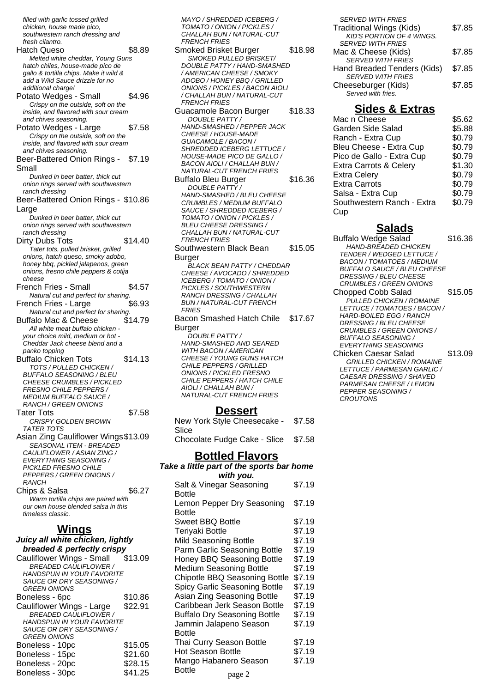filled with garlic tossed grilled chicken, house made pico, southwestern ranch dressing and fresh cilantro. Hatch Queso \$8.89 Melted white cheddar, Young Guns hatch chiles, house-made pico de gallo & tortilla chips. Make it wild & add a Wild Sauce drizzle for no additional charge! Potato Wedges - Small \$4.96 Crispy on the outside, soft on the inside, and flavored with sour cream and chives seasoning. Potato Wedges - Large \$7.58 Crispy on the outside, soft on the inside, and flavored with sour cream and chives seasoning. Beer-Battered Onion Rings - \$7.19 Small Dunked in beer batter, thick cut onion rings served with southwestern ranch dressing Beer-Battered Onion Rings - \$10.86 Large Dunked in beer batter, thick cut onion rings served with southwestern ranch dressing Dirty Dubs Tots \$14.40 Tater tots, pulled brisket, grilled onions, hatch queso, smoky adobo, honey bbq, pickled jalapenos, green onions, fresno chile peppers & cotija cheese French Fries - Small \$4.57 Natural cut and perfect for sharing. French Fries - Large \$6.93 Natural cut and perfect for sharing. Buffalo Mac & Cheese \$14.79 All white meat buffalo chicken your choice mild, medium or hot - Cheddar Jack cheese blend and a panko topping Buffalo Chicken Tots \$14.13 TOTS / PULLED CHICKEN / BUFFALO SEASONING / BLEU CHEESE CRUMBLES / PICKLED FRESNO CHILE PEPPERS / MEDIUM BUFFALO SAUCE / RANCH / GREEN ONIONS Tater Tots \$7.58 CRISPY GOLDEN BROWN TATER TOTS Asian Zing Cauliflower Wings\$13.09 SEASONAL ITEM - BREADED CAULIFLOWER / ASIAN ZING / EVERYTHING SEASONING / PICKI ED FRESNO CHILE PEPPERS / GREEN ONIONS / **RANCH** Chips & Salsa  $$6.27$ Warm tortilla chips are paired with our own house blended salsa in this timeless classic. **Wings Juicy all white chicken, lightly breaded & perfectly crispy**<br>auliflower Wings - Small 413.09 Cauliflower Wings - Small \$13.09

| Caumowci wings Onian             | ⊎ ເບ.∪ບ |
|----------------------------------|---------|
| <b>BREADED CAULIFLOWER /</b>     |         |
| <b>HANDSPUN IN YOUR FAVORITE</b> |         |
| SAUCE OR DRY SEASONING /         |         |
| <b>GREEN ONIONS</b>              |         |
| Boneless - 6pc                   | \$10.86 |
| Cauliflower Wings - Large        | \$22.91 |
| <b>BREADED CAULIFLOWER /</b>     |         |
| <b>HANDSPUN IN YOUR FAVORITE</b> |         |
| SAUCE OR DRY SEASONING /         |         |
| <b>GREEN ONIONS</b>              |         |
| Boneless - 10pc                  | \$15.05 |
| Boneless - 15pc                  | \$21.60 |
| Boneless - 20pc                  | \$28.15 |
| Boneless - 30pc                  | \$41.25 |
|                                  |         |

MAYO / SHREDDED ICEBERG / TOMATO / ONION / PICKLES / CHALLAH BUN / NATURAL-CUT FRENCH FRIES Smoked Brisket Burger \$18.98 SMOKED PULLED BRISKET/ DOUBLE PATTY / HAND-SMASHED / AMERICAN CHEESE / SMOKY ADOBO / HONEY BBQ / GRILLED ONIONS / PICKLES / BACON AIOLI / CHALLAH BUN / NATURAL-CUT FRENCH FRIES Guacamole Bacon Burger \$18.33 DOUBLE PATTY / HAND-SMASHED / PEPPER JACK CHEESE / HOUSE-MADE GUACAMOLE / BACON / SHREDDED ICEBERG LETTUCE / HOUSE-MADE PICO DE GALLO / BACON AIOLI / CHALLAH BUN / NATURAL-CUT FRENCH FRIES Buffalo Bleu Burger \$16.36 DOUBLE PATTY / HAND-SMASHED / BLEU CHEESE CRUMBLES / MEDIUM BUFFALO SAUCE / SHREDDED ICEBERG / TOMATO / ONION / PICKLES / BLEU CHEESE DRESSING / CHALLAH BUN / NATURAL-CUT FRENCH FRIES Southwestern Black Bean Burger \$15.05 BLACK BEAN PATTY / CHEDDAR CHEESE / AVOCADO / SHREDDED ICEBERG / TOMATO / ONION / PICKLES / SOUTHWESTERN RANCH DRESSING / CHALLAH BUN / NATURAL-CUT FRENCH **FRIES** Bacon Smashed Hatch Chile Burger \$17.67 DOUBLE PATTY / HAND-SMASHED AND SEARED WITH BACON / AMERICAN CHEESE / YOUNG GUNS HATCH

CHILE PEPPERS / GRILLED ONIONS / PICKLED FRESNO CHILE PEPPERS / HATCH CHILE AIOLI / CHALLAH BUN / NATURAL-CUT FRENCH FRIES

#### **Dessert**

| New York Style Cheesecake - \$7.58  |  |
|-------------------------------------|--|
| Slice                               |  |
| Chocolate Fudge Cake - Slice \$7.58 |  |
|                                     |  |

#### **Bottled Flavors Take a little part of the sports bar home**

| with you.                                                                                                                                                                                                                                                                                                                                                                                                                    |                                                                                                                                |
|------------------------------------------------------------------------------------------------------------------------------------------------------------------------------------------------------------------------------------------------------------------------------------------------------------------------------------------------------------------------------------------------------------------------------|--------------------------------------------------------------------------------------------------------------------------------|
| Salt & Vinegar Seasoning<br><b>Bottle</b>                                                                                                                                                                                                                                                                                                                                                                                    | \$7.19                                                                                                                         |
| Lemon Pepper Dry Seasoning                                                                                                                                                                                                                                                                                                                                                                                                   | \$7.19                                                                                                                         |
| <b>Bottle</b><br>Sweet BBQ Bottle<br>Teriyaki Bottle<br>Mild Seasoning Bottle<br>Parm Garlic Seasoning Bottle<br>Honey BBQ Seasoning Bottle<br><b>Medium Seasoning Bottle</b><br>Chipotle BBQ Seasoning Bottle<br>Spicy Garlic Seasoning Bottle<br>Asian Zing Seasoning Bottle<br>Caribbean Jerk Season Bottle<br><b>Buffalo Dry Seasoning Bottle</b><br>Jammin Jalapeno Season<br><b>Bottle</b><br>Thai Curry Season Bottle | \$7.19<br>\$7.19<br>\$7.19<br>\$7.19<br>\$7.19<br>\$7.19<br>\$7.19<br>\$7.19<br>\$7.19<br>\$7.19<br>\$7.19<br>\$7.19<br>\$7.19 |
| <b>Hot Season Bottle</b>                                                                                                                                                                                                                                                                                                                                                                                                     | \$7.19                                                                                                                         |
| Mango Habanero Season                                                                                                                                                                                                                                                                                                                                                                                                        | \$7.19                                                                                                                         |
| <b>Bottle</b><br>page 2                                                                                                                                                                                                                                                                                                                                                                                                      |                                                                                                                                |

| <b>SERVED WITH FRIES</b>        |        |
|---------------------------------|--------|
| <b>Traditional Wings (Kids)</b> | \$7.85 |
| KID'S PORTION OF 4 WINGS.       |        |
| <b>SERVED WITH FRIES</b>        |        |
| Mac & Cheese (Kids)             | \$7.85 |
| <b>SERVED WITH FRIES</b>        |        |
| Hand Breaded Tenders (Kids)     | \$7.85 |
| <b>SERVED WITH FRIES</b>        |        |
| Cheeseburger (Kids)             | \$7.85 |
| Served with fries               |        |

#### **Sides & Extras**

| Mac n Cheese                      | \$5.62 |
|-----------------------------------|--------|
| Garden Side Salad                 | \$5.88 |
| Ranch - Extra Cup                 | \$0.79 |
| Bleu Cheese - Extra Cup           | \$0.79 |
| Pico de Gallo - Extra Cup         | \$0.79 |
| <b>Extra Carrots &amp; Celery</b> | \$1.30 |
| <b>Extra Celery</b>               | \$0.79 |
| <b>Extra Carrots</b>              | \$0.79 |
| Salsa - Extra Cup                 | \$0.79 |
| Southwestern Ranch - Extra        | \$0.79 |
| Cup                               |        |

## **Salads**

Buffalo Wedge Salad \$16.36 HAND-BREADED CHICKEN TENDER / WEDGED LETTUCE / BACON / TOMATOES / MEDIUM BUFFALO SAUCE / BLEU CHEESE DRESSING / BLEU CHEESE CRUMBLES / GREEN ONIONS Chopped Cobb Salad \$15.05 PULLED CHICKEN / ROMAINE LETTUCE / TOMATOES / BACON / HARD-BOILED EGG / RANCH DRESSING / BLEU CHEESE CRUMBLES / GREEN ONIONS / BUFFALO SEASONING / EVERYTHING SEASONING Chicken Caesar Salad \$13.09 GRILLED CHICKEN / ROMAINE LETTUCE / PARMESAN GARLIC / CAESAR DRESSING / SHAVED PARMESAN CHEESE / LEMON PEPPER SEASONING /

**CROUTONS**